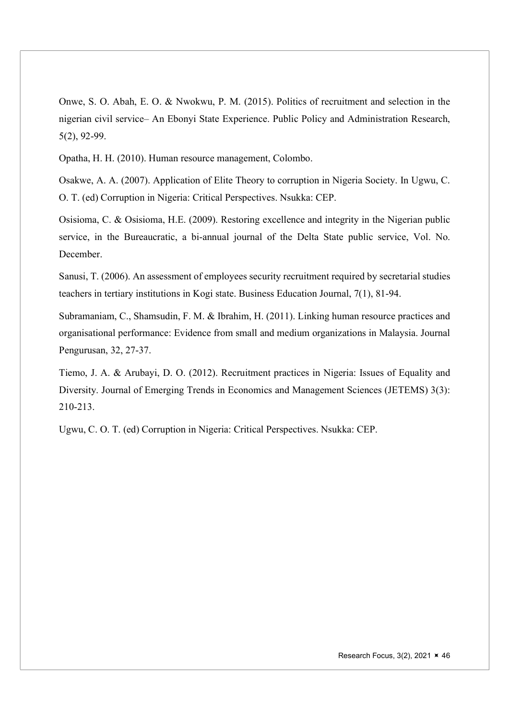Onwe, S. O. Abah, E. O. & Nwokwu, P. M. (2015). Politics of recruitment and selection in the nigerian civil service– An Ebonyi State Experience. Public Policy and Administration Research, 5(2), 92-99.

Opatha, H. H. (2010). Human resource management, Colombo.

Osakwe, A. A. (2007). Application of Elite Theory to corruption in Nigeria Society. In Ugwu, C. O. T. (ed) Corruption in Nigeria: Critical Perspectives. Nsukka: CEP.

Osisioma, C. & Osisioma, H.E. (2009). Restoring excellence and integrity in the Nigerian public service, in the Bureaucratic, a bi-annual journal of the Delta State public service, Vol. No. December.

Sanusi, T. (2006). An assessment of employees security recruitment required by secretarial studies teachers in tertiary institutions in Kogi state. Business Education Journal, 7(1), 81-94.

Subramaniam, C., Shamsudin, F. M. & Ibrahim, H. (2011). Linking human resource practices and organisational performance: Evidence from small and medium organizations in Malaysia. Journal Pengurusan, 32, 27-37.

Tiemo, J. A. & Arubayi, D. O. (2012). Recruitment practices in Nigeria: Issues of Equality and Diversity. Journal of Emerging Trends in Economics and Management Sciences (JETEMS) 3(3): 210-213.

Ugwu, C. O. T. (ed) Corruption in Nigeria: Critical Perspectives. Nsukka: CEP.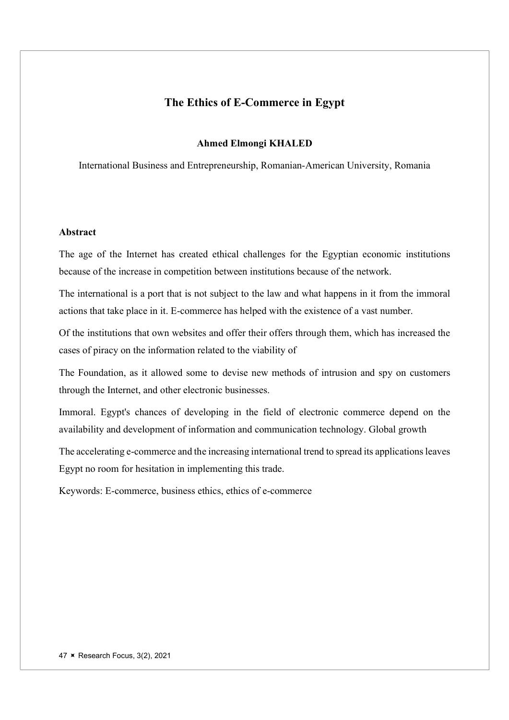# The Ethics of E-Commerce in Egypt

## Ahmed Elmongi KHALED

International Business and Entrepreneurship, Romanian-American University, Romania

## Abstract

The age of the Internet has created ethical challenges for the Egyptian economic institutions because of the increase in competition between institutions because of the network.

The international is a port that is not subject to the law and what happens in it from the immoral actions that take place in it. E-commerce has helped with the existence of a vast number.

Of the institutions that own websites and offer their offers through them, which has increased the cases of piracy on the information related to the viability of

The Foundation, as it allowed some to devise new methods of intrusion and spy on customers through the Internet, and other electronic businesses.

Immoral. Egypt's chances of developing in the field of electronic commerce depend on the availability and development of information and communication technology. Global growth

The accelerating e-commerce and the increasing international trend to spread its applications leaves Egypt no room for hesitation in implementing this trade.

Keywords: E-commerce, business ethics, ethics of e-commerce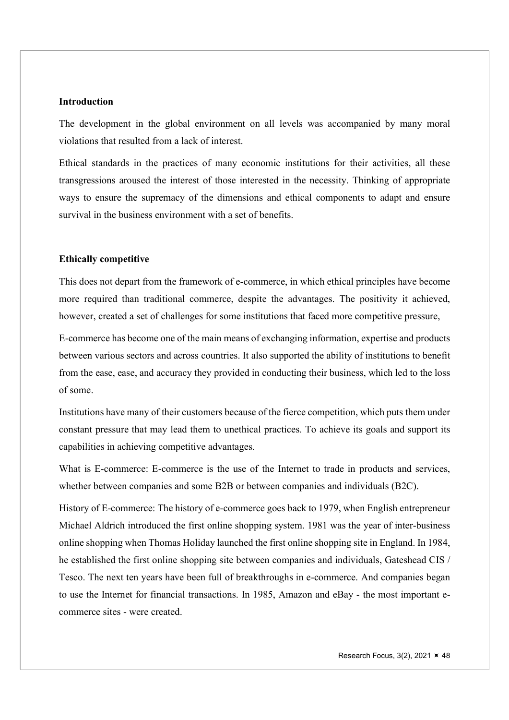#### **Introduction**

The development in the global environment on all levels was accompanied by many moral violations that resulted from a lack of interest.

Ethical standards in the practices of many economic institutions for their activities, all these transgressions aroused the interest of those interested in the necessity. Thinking of appropriate ways to ensure the supremacy of the dimensions and ethical components to adapt and ensure survival in the business environment with a set of benefits.

#### Ethically competitive

This does not depart from the framework of e-commerce, in which ethical principles have become more required than traditional commerce, despite the advantages. The positivity it achieved, however, created a set of challenges for some institutions that faced more competitive pressure,

E-commerce has become one of the main means of exchanging information, expertise and products between various sectors and across countries. It also supported the ability of institutions to benefit from the ease, ease, and accuracy they provided in conducting their business, which led to the loss of some.

Institutions have many of their customers because of the fierce competition, which puts them under constant pressure that may lead them to unethical practices. To achieve its goals and support its capabilities in achieving competitive advantages.

What is E-commerce: E-commerce is the use of the Internet to trade in products and services, whether between companies and some B2B or between companies and individuals (B2C).

History of E-commerce: The history of e-commerce goes back to 1979, when English entrepreneur Michael Aldrich introduced the first online shopping system. 1981 was the year of inter-business online shopping when Thomas Holiday launched the first online shopping site in England. In 1984, he established the first online shopping site between companies and individuals, Gateshead CIS / Tesco. The next ten years have been full of breakthroughs in e-commerce. And companies began to use the Internet for financial transactions. In 1985, Amazon and eBay - the most important ecommerce sites - were created.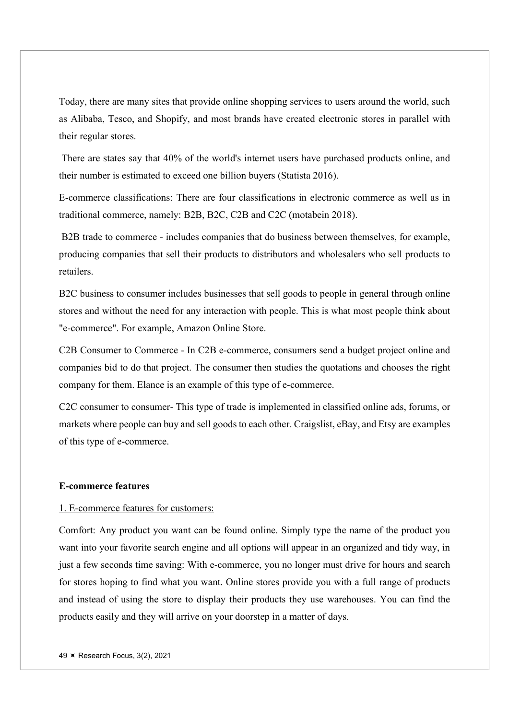Today, there are many sites that provide online shopping services to users around the world, such as Alibaba, Tesco, and Shopify, and most brands have created electronic stores in parallel with their regular stores.

 There are states say that 40% of the world's internet users have purchased products online, and their number is estimated to exceed one billion buyers (Statista 2016).

E-commerce classifications: There are four classifications in electronic commerce as well as in traditional commerce, namely: B2B, B2C, C2B and C2C (motabein 2018).

 B2B trade to commerce - includes companies that do business between themselves, for example, producing companies that sell their products to distributors and wholesalers who sell products to retailers.

B2C business to consumer includes businesses that sell goods to people in general through online stores and without the need for any interaction with people. This is what most people think about "e-commerce". For example, Amazon Online Store.

C2B Consumer to Commerce - In C2B e-commerce, consumers send a budget project online and companies bid to do that project. The consumer then studies the quotations and chooses the right company for them. Elance is an example of this type of e-commerce.

C2C consumer to consumer- This type of trade is implemented in classified online ads, forums, or markets where people can buy and sell goods to each other. Craigslist, eBay, and Etsy are examples of this type of e-commerce.

#### E-commerce features

#### 1. E-commerce features for customers:

Comfort: Any product you want can be found online. Simply type the name of the product you want into your favorite search engine and all options will appear in an organized and tidy way, in just a few seconds time saving: With e-commerce, you no longer must drive for hours and search for stores hoping to find what you want. Online stores provide you with a full range of products and instead of using the store to display their products they use warehouses. You can find the products easily and they will arrive on your doorstep in a matter of days.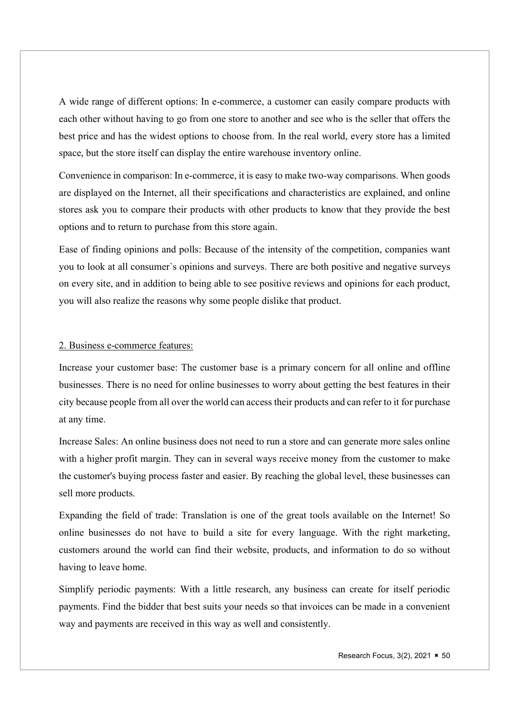A wide range of different options: In e-commerce, a customer can easily compare products with each other without having to go from one store to another and see who is the seller that offers the best price and has the widest options to choose from. In the real world, every store has a limited space, but the store itself can display the entire warehouse inventory online.

Convenience in comparison: In e-commerce, it is easy to make two-way comparisons. When goods are displayed on the Internet, all their specifications and characteristics are explained, and online stores ask you to compare their products with other products to know that they provide the best options and to return to purchase from this store again.

Ease of finding opinions and polls: Because of the intensity of the competition, companies want you to look at all consumer`s opinions and surveys. There are both positive and negative surveys on every site, and in addition to being able to see positive reviews and opinions for each product, you will also realize the reasons why some people dislike that product.

#### 2. Business e-commerce features:

Increase your customer base: The customer base is a primary concern for all online and offline businesses. There is no need for online businesses to worry about getting the best features in their city because people from all over the world can access their products and can refer to it for purchase at any time.

Increase Sales: An online business does not need to run a store and can generate more sales online with a higher profit margin. They can in several ways receive money from the customer to make the customer's buying process faster and easier. By reaching the global level, these businesses can sell more products.

Expanding the field of trade: Translation is one of the great tools available on the Internet! So online businesses do not have to build a site for every language. With the right marketing, customers around the world can find their website, products, and information to do so without having to leave home.

Simplify periodic payments: With a little research, any business can create for itself periodic payments. Find the bidder that best suits your needs so that invoices can be made in a convenient way and payments are received in this way as well and consistently.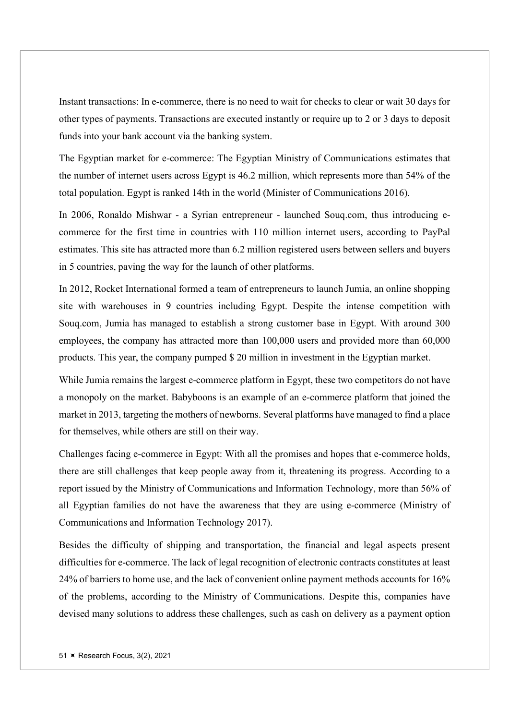Instant transactions: In e-commerce, there is no need to wait for checks to clear or wait 30 days for other types of payments. Transactions are executed instantly or require up to 2 or 3 days to deposit funds into your bank account via the banking system.

The Egyptian market for e-commerce: The Egyptian Ministry of Communications estimates that the number of internet users across Egypt is 46.2 million, which represents more than 54% of the total population. Egypt is ranked 14th in the world (Minister of Communications 2016).

In 2006, Ronaldo Mishwar - a Syrian entrepreneur - launched Souq.com, thus introducing ecommerce for the first time in countries with 110 million internet users, according to PayPal estimates. This site has attracted more than 6.2 million registered users between sellers and buyers in 5 countries, paving the way for the launch of other platforms.

In 2012, Rocket International formed a team of entrepreneurs to launch Jumia, an online shopping site with warehouses in 9 countries including Egypt. Despite the intense competition with Souq.com, Jumia has managed to establish a strong customer base in Egypt. With around 300 employees, the company has attracted more than 100,000 users and provided more than 60,000 products. This year, the company pumped \$ 20 million in investment in the Egyptian market.

While Jumia remains the largest e-commerce platform in Egypt, these two competitors do not have a monopoly on the market. Babyboons is an example of an e-commerce platform that joined the market in 2013, targeting the mothers of newborns. Several platforms have managed to find a place for themselves, while others are still on their way.

Challenges facing e-commerce in Egypt: With all the promises and hopes that e-commerce holds, there are still challenges that keep people away from it, threatening its progress. According to a report issued by the Ministry of Communications and Information Technology, more than 56% of all Egyptian families do not have the awareness that they are using e-commerce (Ministry of Communications and Information Technology 2017).

Besides the difficulty of shipping and transportation, the financial and legal aspects present difficulties for e-commerce. The lack of legal recognition of electronic contracts constitutes at least 24% of barriers to home use, and the lack of convenient online payment methods accounts for 16% of the problems, according to the Ministry of Communications. Despite this, companies have devised many solutions to address these challenges, such as cash on delivery as a payment option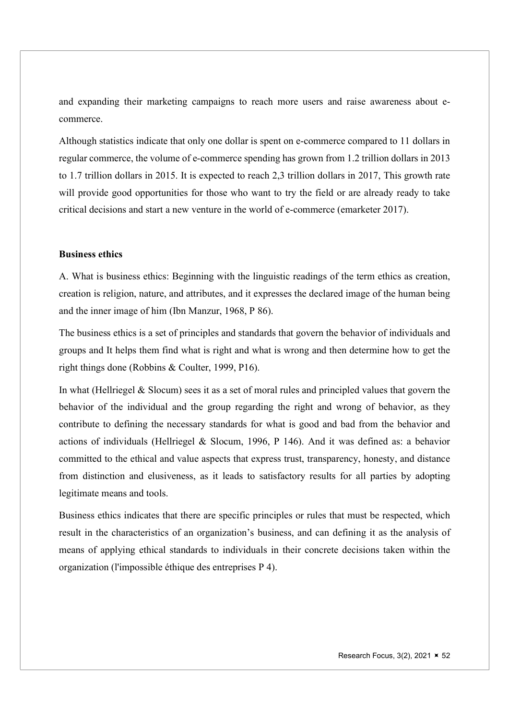and expanding their marketing campaigns to reach more users and raise awareness about ecommerce.

Although statistics indicate that only one dollar is spent on e-commerce compared to 11 dollars in regular commerce, the volume of e-commerce spending has grown from 1.2 trillion dollars in 2013 to 1.7 trillion dollars in 2015. It is expected to reach 2,3 trillion dollars in 2017, This growth rate will provide good opportunities for those who want to try the field or are already ready to take critical decisions and start a new venture in the world of e-commerce (emarketer 2017).

## Business ethics

A. What is business ethics: Beginning with the linguistic readings of the term ethics as creation, creation is religion, nature, and attributes, and it expresses the declared image of the human being and the inner image of him (Ibn Manzur, 1968, P 86).

The business ethics is a set of principles and standards that govern the behavior of individuals and groups and It helps them find what is right and what is wrong and then determine how to get the right things done (Robbins & Coulter, 1999, P16).

In what (Hellriegel & Slocum) sees it as a set of moral rules and principled values that govern the behavior of the individual and the group regarding the right and wrong of behavior, as they contribute to defining the necessary standards for what is good and bad from the behavior and actions of individuals (Hellriegel & Slocum, 1996, P 146). And it was defined as: a behavior committed to the ethical and value aspects that express trust, transparency, honesty, and distance from distinction and elusiveness, as it leads to satisfactory results for all parties by adopting legitimate means and tools.

Business ethics indicates that there are specific principles or rules that must be respected, which result in the characteristics of an organization's business, and can defining it as the analysis of means of applying ethical standards to individuals in their concrete decisions taken within the organization (l'impossible éthique des entreprises P 4).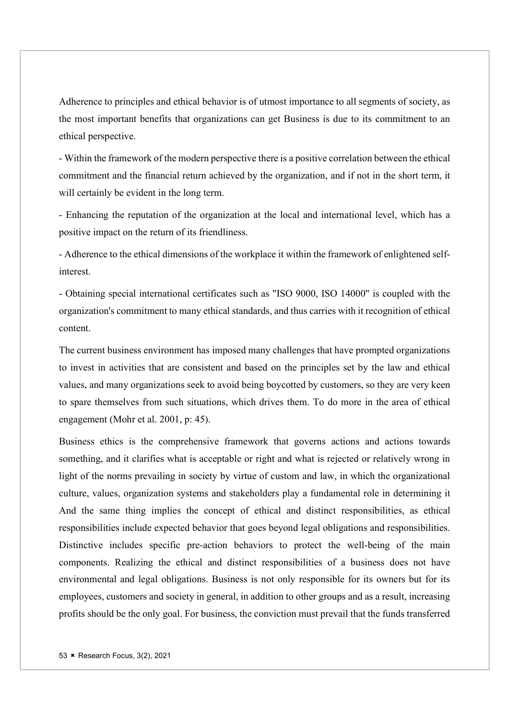Adherence to principles and ethical behavior is of utmost importance to all segments of society, as the most important benefits that organizations can get Business is due to its commitment to an ethical perspective.

- Within the framework of the modern perspective there is a positive correlation between the ethical commitment and the financial return achieved by the organization, and if not in the short term, it will certainly be evident in the long term.

- Enhancing the reputation of the organization at the local and international level, which has a positive impact on the return of its friendliness.

- Adherence to the ethical dimensions of the workplace it within the framework of enlightened selfinterest.

- Obtaining special international certificates such as "ISO 9000, ISO 14000" is coupled with the organization's commitment to many ethical standards, and thus carries with it recognition of ethical content.

The current business environment has imposed many challenges that have prompted organizations to invest in activities that are consistent and based on the principles set by the law and ethical values, and many organizations seek to avoid being boycotted by customers, so they are very keen to spare themselves from such situations, which drives them. To do more in the area of ethical engagement (Mohr et al. 2001, p: 45).

Business ethics is the comprehensive framework that governs actions and actions towards something, and it clarifies what is acceptable or right and what is rejected or relatively wrong in light of the norms prevailing in society by virtue of custom and law, in which the organizational culture, values, organization systems and stakeholders play a fundamental role in determining it And the same thing implies the concept of ethical and distinct responsibilities, as ethical responsibilities include expected behavior that goes beyond legal obligations and responsibilities. Distinctive includes specific pre-action behaviors to protect the well-being of the main components. Realizing the ethical and distinct responsibilities of a business does not have environmental and legal obligations. Business is not only responsible for its owners but for its employees, customers and society in general, in addition to other groups and as a result, increasing profits should be the only goal. For business, the conviction must prevail that the funds transferred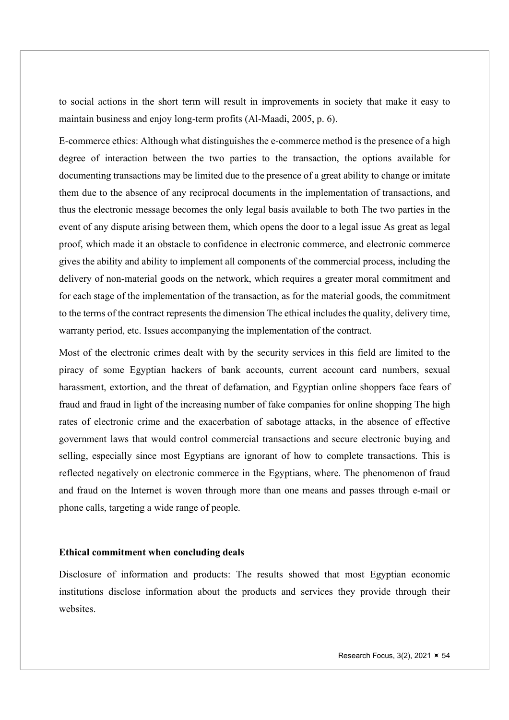to social actions in the short term will result in improvements in society that make it easy to maintain business and enjoy long-term profits (Al-Maadi, 2005, p. 6).

E-commerce ethics: Although what distinguishes the e-commerce method is the presence of a high degree of interaction between the two parties to the transaction, the options available for documenting transactions may be limited due to the presence of a great ability to change or imitate them due to the absence of any reciprocal documents in the implementation of transactions, and thus the electronic message becomes the only legal basis available to both The two parties in the event of any dispute arising between them, which opens the door to a legal issue As great as legal proof, which made it an obstacle to confidence in electronic commerce, and electronic commerce gives the ability and ability to implement all components of the commercial process, including the delivery of non-material goods on the network, which requires a greater moral commitment and for each stage of the implementation of the transaction, as for the material goods, the commitment to the terms of the contract represents the dimension The ethical includes the quality, delivery time, warranty period, etc. Issues accompanying the implementation of the contract.

Most of the electronic crimes dealt with by the security services in this field are limited to the piracy of some Egyptian hackers of bank accounts, current account card numbers, sexual harassment, extortion, and the threat of defamation, and Egyptian online shoppers face fears of fraud and fraud in light of the increasing number of fake companies for online shopping The high rates of electronic crime and the exacerbation of sabotage attacks, in the absence of effective government laws that would control commercial transactions and secure electronic buying and selling, especially since most Egyptians are ignorant of how to complete transactions. This is reflected negatively on electronic commerce in the Egyptians, where. The phenomenon of fraud and fraud on the Internet is woven through more than one means and passes through e-mail or phone calls, targeting a wide range of people.

#### Ethical commitment when concluding deals

Disclosure of information and products: The results showed that most Egyptian economic institutions disclose information about the products and services they provide through their websites.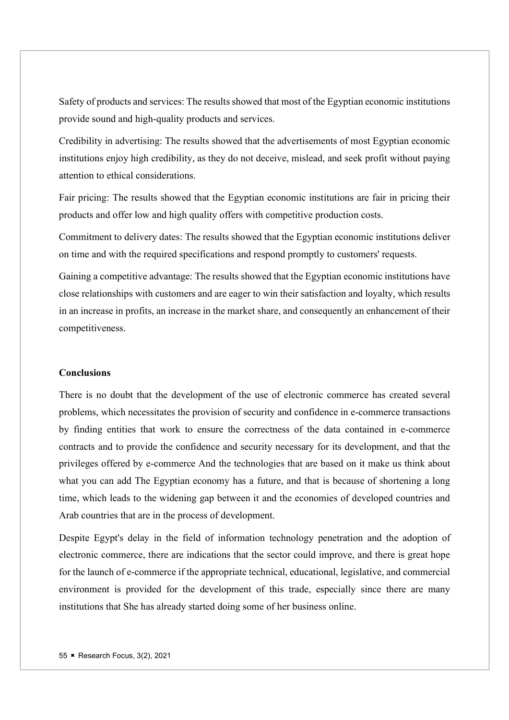Safety of products and services: The results showed that most of the Egyptian economic institutions provide sound and high-quality products and services.

Credibility in advertising: The results showed that the advertisements of most Egyptian economic institutions enjoy high credibility, as they do not deceive, mislead, and seek profit without paying attention to ethical considerations.

Fair pricing: The results showed that the Egyptian economic institutions are fair in pricing their products and offer low and high quality offers with competitive production costs.

Commitment to delivery dates: The results showed that the Egyptian economic institutions deliver on time and with the required specifications and respond promptly to customers' requests.

Gaining a competitive advantage: The results showed that the Egyptian economic institutions have close relationships with customers and are eager to win their satisfaction and loyalty, which results in an increase in profits, an increase in the market share, and consequently an enhancement of their competitiveness.

## Conclusions

There is no doubt that the development of the use of electronic commerce has created several problems, which necessitates the provision of security and confidence in e-commerce transactions by finding entities that work to ensure the correctness of the data contained in e-commerce contracts and to provide the confidence and security necessary for its development, and that the privileges offered by e-commerce And the technologies that are based on it make us think about what you can add The Egyptian economy has a future, and that is because of shortening a long time, which leads to the widening gap between it and the economies of developed countries and Arab countries that are in the process of development.

Despite Egypt's delay in the field of information technology penetration and the adoption of electronic commerce, there are indications that the sector could improve, and there is great hope for the launch of e-commerce if the appropriate technical, educational, legislative, and commercial environment is provided for the development of this trade, especially since there are many institutions that She has already started doing some of her business online.